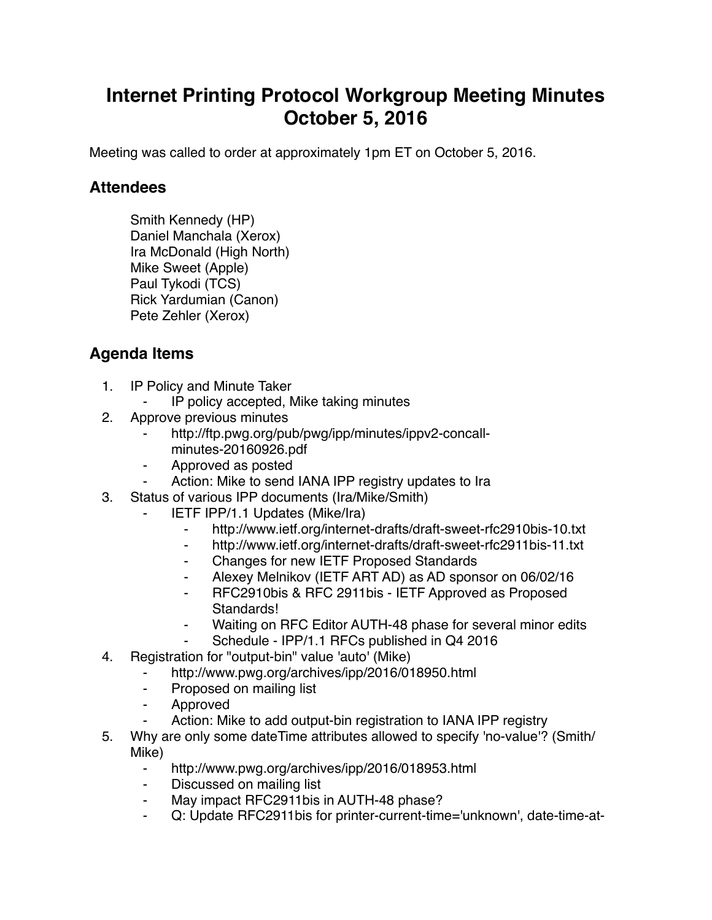## **Internet Printing Protocol Workgroup Meeting Minutes October 5, 2016**

Meeting was called to order at approximately 1pm ET on October 5, 2016.

## **Attendees**

Smith Kennedy (HP) Daniel Manchala (Xerox) Ira McDonald (High North) Mike Sweet (Apple) Paul Tykodi (TCS) Rick Yardumian (Canon) Pete Zehler (Xerox)

## **Agenda Items**

- 1. IP Policy and Minute Taker
	- IP policy accepted, Mike taking minutes
- 2. Approve previous minutes
	- http://ftp.pwg.org/pub/pwg/ipp/minutes/ippv2-concallminutes-20160926.pdf
	- ⁃ Approved as posted
	- Action: Mike to send IANA IPP registry updates to Ira
- 3. Status of various IPP documents (Ira/Mike/Smith)
	- **IETF IPP/1.1 Updates (Mike/Ira)** 
		- ⁃ http://www.ietf.org/internet-drafts/draft-sweet-rfc2910bis-10.txt
		- ⁃ http://www.ietf.org/internet-drafts/draft-sweet-rfc2911bis-11.txt
		- ⁃ Changes for new IETF Proposed Standards
		- Alexey Melnikov (IETF ART AD) as AD sponsor on 06/02/16
		- ⁃ RFC2910bis & RFC 2911bis IETF Approved as Proposed Standards!
		- Waiting on RFC Editor AUTH-48 phase for several minor edits
		- Schedule IPP/1.1 RFCs published in Q4 2016
- 4. Registration for "output-bin" value 'auto' (Mike)
	- http://www.pwg.org/archives/ipp/2016/018950.html
	- ⁃ Proposed on mailing list
	- ⁃ Approved
	- Action: Mike to add output-bin registration to IANA IPP registry
- 5. Why are only some dateTime attributes allowed to specify 'no-value'? (Smith/ Mike)
	- ⁃ http://www.pwg.org/archives/ipp/2016/018953.html
	- ⁃ Discussed on mailing list
	- May impact RFC2911bis in AUTH-48 phase?
	- Q: Update RFC2911bis for printer-current-time='unknown', date-time-at-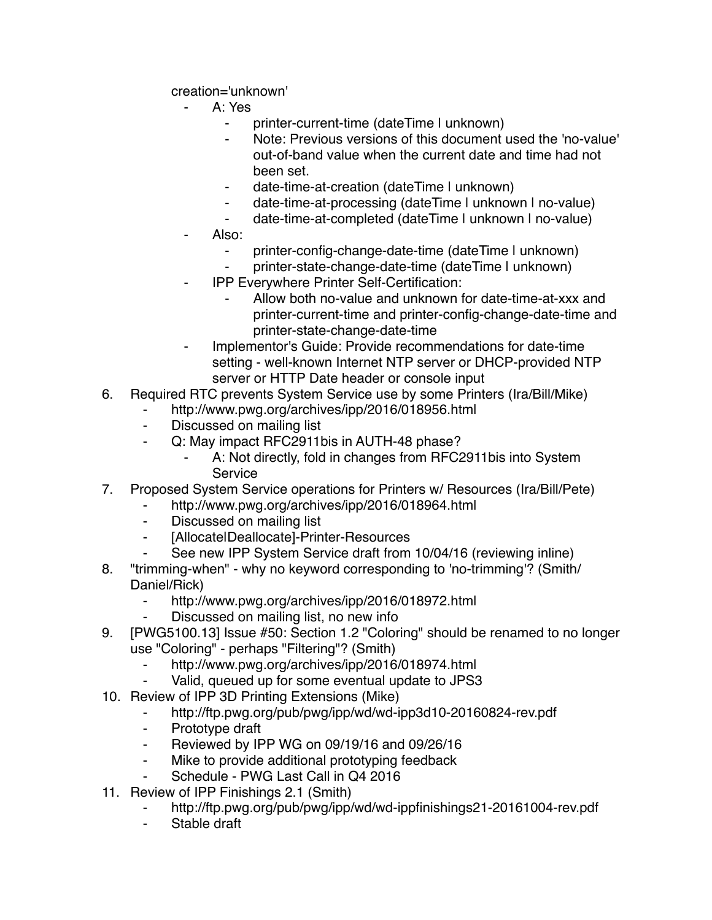creation='unknown'

- ⁃ A: Yes
	- ⁃ printer-current-time (dateTime | unknown)
	- ⁃ Note: Previous versions of this document used the 'no-value' out-of-band value when the current date and time had not been set.
	- date-time-at-creation (dateTime I unknown)
	- date-time-at-processing (dateTime I unknown I no-value)
	- date-time-at-completed (dateTime I unknown I no-value)
- Also:
	- printer-config-change-date-time (dateTime I unknown)
	- ⁃ printer-state-change-date-time (dateTime | unknown)
- **IPP Everywhere Printer Self-Certification:** 
	- Allow both no-value and unknown for date-time-at-xxx and printer-current-time and printer-config-change-date-time and printer-state-change-date-time
- ⁃ Implementor's Guide: Provide recommendations for date-time setting - well-known Internet NTP server or DHCP-provided NTP server or HTTP Date header or console input
- 6. Required RTC prevents System Service use by some Printers (Ira/Bill/Mike)
	- http://www.pwg.org/archives/ipp/2016/018956.html
	- ⁃ Discussed on mailing list
	- Q: May impact RFC2911bis in AUTH-48 phase?
		- A: Not directly, fold in changes from RFC2911bis into System **Service**
- 7. Proposed System Service operations for Printers w/ Resources (Ira/Bill/Pete)
	- http://www.pwg.org/archives/ipp/2016/018964.html
	- ⁃ Discussed on mailing list
	- [AllocatelDeallocate]-Printer-Resources
	- See new IPP System Service draft from 10/04/16 (reviewing inline)
- 8. "trimming-when" why no keyword corresponding to 'no-trimming'? (Smith/ Daniel/Rick)
	- http://www.pwg.org/archives/ipp/2016/018972.html
	- Discussed on mailing list, no new info
- 9. [PWG5100.13] Issue #50: Section 1.2 "Coloring" should be renamed to no longer use "Coloring" - perhaps "Filtering"? (Smith)
	- ⁃ http://www.pwg.org/archives/ipp/2016/018974.html
	- Valid, queued up for some eventual update to JPS3
- 10. Review of IPP 3D Printing Extensions (Mike)
	- http://ftp.pwg.org/pub/pwg/ipp/wd/wd-ipp3d10-20160824-rev.pdf
	- ⁃ Prototype draft
	- ⁃ Reviewed by IPP WG on 09/19/16 and 09/26/16
	- Mike to provide additional prototyping feedback
	- Schedule PWG Last Call in Q4 2016
- 11. Review of IPP Finishings 2.1 (Smith)
	- http://ftp.pwg.org/pub/pwg/ipp/wd/wd-ippfinishings21-20161004-rev.pdf
	- Stable draft